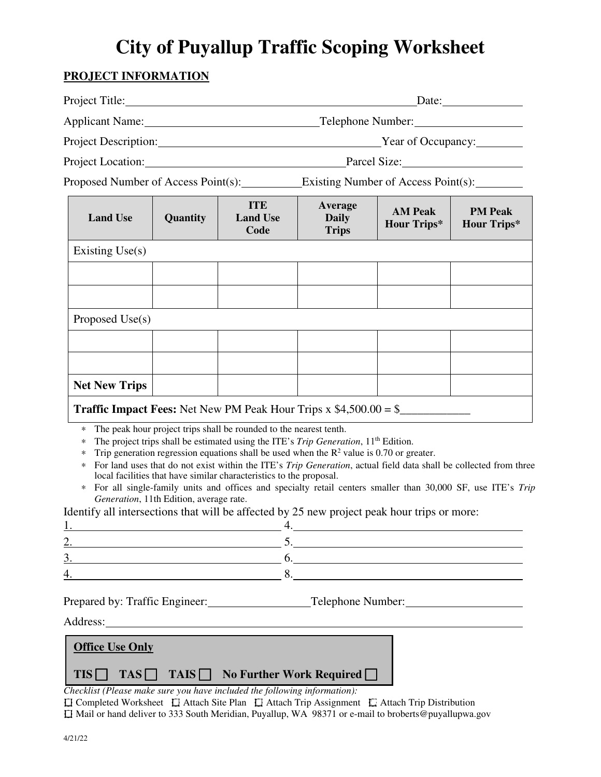## **City of Puyallup Traffic Scoping Worksheet**

## **PROJECT INFORMATION**

|                                                                                             |                                                         |                                                                                                                                                                                                                                                                                                                                                      |                                                                                             |                                                                                                                                                                                                                                  | $\text{Date:}$                       |  |
|---------------------------------------------------------------------------------------------|---------------------------------------------------------|------------------------------------------------------------------------------------------------------------------------------------------------------------------------------------------------------------------------------------------------------------------------------------------------------------------------------------------------------|---------------------------------------------------------------------------------------------|----------------------------------------------------------------------------------------------------------------------------------------------------------------------------------------------------------------------------------|--------------------------------------|--|
|                                                                                             |                                                         |                                                                                                                                                                                                                                                                                                                                                      | Telephone Number:<br>Year of Occupancy:<br>Project Location: Project Location: Parcel Size: |                                                                                                                                                                                                                                  |                                      |  |
|                                                                                             |                                                         |                                                                                                                                                                                                                                                                                                                                                      |                                                                                             |                                                                                                                                                                                                                                  |                                      |  |
|                                                                                             |                                                         |                                                                                                                                                                                                                                                                                                                                                      |                                                                                             |                                                                                                                                                                                                                                  |                                      |  |
| Proposed Number of Access Point(s): Existing Number of Access Point(s):                     |                                                         |                                                                                                                                                                                                                                                                                                                                                      |                                                                                             |                                                                                                                                                                                                                                  |                                      |  |
| <b>Land Use</b>                                                                             | Quantity                                                | <b>ITE</b><br><b>Land Use</b><br>Code                                                                                                                                                                                                                                                                                                                | Average<br><b>Daily</b><br><b>Trips</b>                                                     | <b>AM Peak</b><br><b>Hour Trips*</b>                                                                                                                                                                                             | <b>PM Peak</b><br><b>Hour Trips*</b> |  |
| Existing $Use(s)$                                                                           |                                                         |                                                                                                                                                                                                                                                                                                                                                      |                                                                                             |                                                                                                                                                                                                                                  |                                      |  |
|                                                                                             |                                                         |                                                                                                                                                                                                                                                                                                                                                      |                                                                                             |                                                                                                                                                                                                                                  |                                      |  |
|                                                                                             |                                                         |                                                                                                                                                                                                                                                                                                                                                      |                                                                                             |                                                                                                                                                                                                                                  |                                      |  |
| Proposed Use(s)                                                                             |                                                         |                                                                                                                                                                                                                                                                                                                                                      |                                                                                             |                                                                                                                                                                                                                                  |                                      |  |
|                                                                                             |                                                         |                                                                                                                                                                                                                                                                                                                                                      |                                                                                             |                                                                                                                                                                                                                                  |                                      |  |
|                                                                                             |                                                         |                                                                                                                                                                                                                                                                                                                                                      |                                                                                             |                                                                                                                                                                                                                                  |                                      |  |
| <b>Net New Trips</b>                                                                        |                                                         |                                                                                                                                                                                                                                                                                                                                                      |                                                                                             |                                                                                                                                                                                                                                  |                                      |  |
| <b>Traffic Impact Fees:</b> Net New PM Peak Hour Trips $x$ \$4,500.00 = \$                  |                                                         |                                                                                                                                                                                                                                                                                                                                                      |                                                                                             |                                                                                                                                                                                                                                  |                                      |  |
| $\ast$<br>*<br>*<br>*<br>$\ast$                                                             | Generation, 11th Edition, average rate.                 | The peak hour project trips shall be rounded to the nearest tenth.<br>The project trips shall be estimated using the ITE's Trip Generation, 11 <sup>th</sup> Edition.<br>Trip generation regression equations shall be used when the $\mathbb{R}^2$ value is 0.70 or greater.<br>local facilities that have similar characteristics to the proposal. |                                                                                             | For land uses that do not exist within the ITE's Trip Generation, actual field data shall be collected from three<br>For all single-family units and offices and specialty retail centers smaller than 30,000 SF, use ITE's Trip |                                      |  |
| Identify all intersections that will be affected by 25 new project peak hour trips or more: |                                                         |                                                                                                                                                                                                                                                                                                                                                      |                                                                                             |                                                                                                                                                                                                                                  |                                      |  |
|                                                                                             | <u> 1989 - Johann Barnett, fransk politik (d. 1989)</u> |                                                                                                                                                                                                                                                                                                                                                      |                                                                                             | 5.                                                                                                                                                                                                                               |                                      |  |
| 3. $\qquad \qquad 6.$                                                                       |                                                         |                                                                                                                                                                                                                                                                                                                                                      |                                                                                             |                                                                                                                                                                                                                                  |                                      |  |
| 4.                                                                                          |                                                         | 8.                                                                                                                                                                                                                                                                                                                                                   |                                                                                             |                                                                                                                                                                                                                                  |                                      |  |
| Prepared by: Traffic Engineer: Telephone Number:                                            |                                                         |                                                                                                                                                                                                                                                                                                                                                      |                                                                                             |                                                                                                                                                                                                                                  |                                      |  |
| <b>Office Use Only</b><br>$TIS \Box$                                                        |                                                         | $TAS \Box$ TAIS $\Box$ No Further Work Required $\Box$                                                                                                                                                                                                                                                                                               |                                                                                             |                                                                                                                                                                                                                                  |                                      |  |

*Checklist (Please make sure you have included the following information):* 

 Completed Worksheet Attach Site Plan Attach Trip Assignment Attach Trip Distribution Mail or hand deliver to 333 South Meridian, Puyallup, WA 98371 or e-mail to broberts@puyallupwa.gov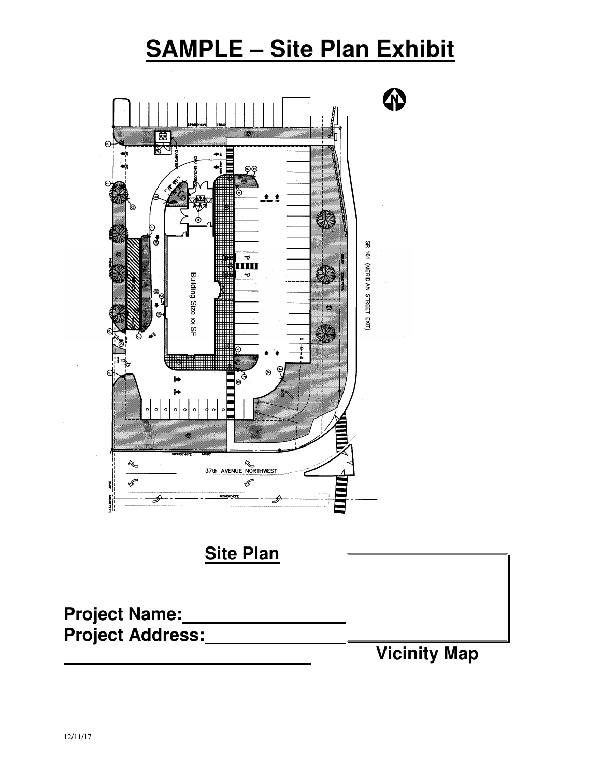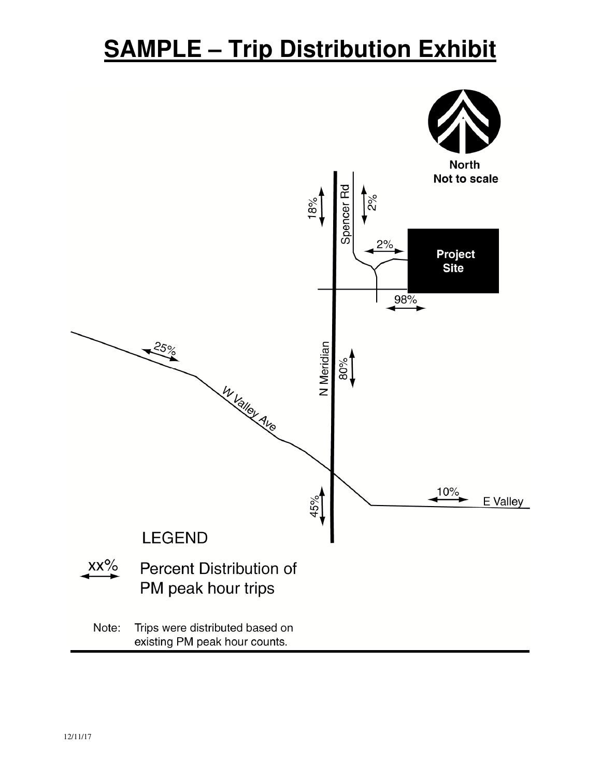## **SAMPLE – Trip Distribution Exhibit**